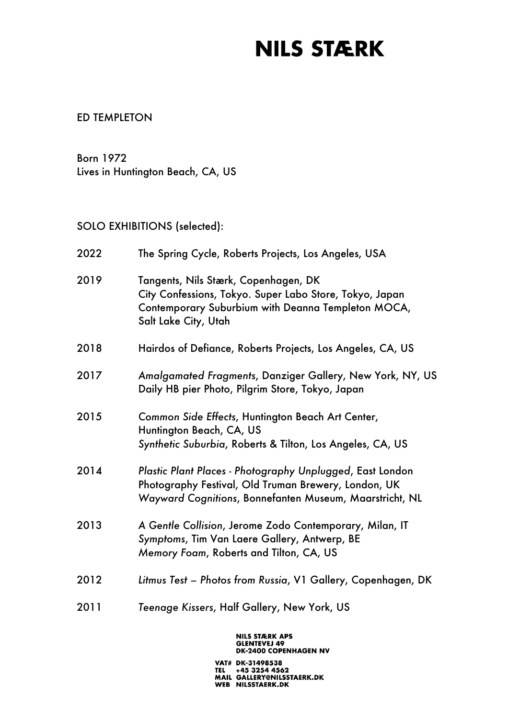#### ED TEMPLETON

Born 1972 Lives in Huntington Beach, CA, US

#### SOLO EXHIBITIONS (selected):

| 2022 | The Spring Cycle, Roberts Projects, Los Angeles, USA                                                                                                                          |
|------|-------------------------------------------------------------------------------------------------------------------------------------------------------------------------------|
| 2019 | Tangents, Nils Stærk, Copenhagen, DK<br>City Confessions, Tokyo. Super Labo Store, Tokyo, Japan<br>Contemporary Suburbium with Deanna Templeton MOCA,<br>Salt Lake City, Utah |
| 2018 | Hairdos of Defiance, Roberts Projects, Los Angeles, CA, US                                                                                                                    |
| 2017 | Amalgamated Fragments, Danziger Gallery, New York, NY, US<br>Daily HB pier Photo, Pilgrim Store, Tokyo, Japan                                                                 |
| 2015 | Common Side Effects, Huntington Beach Art Center,<br>Huntington Beach, CA, US<br>Synthetic Suburbia, Roberts & Tilton, Los Angeles, CA, US                                    |
| 2014 | Plastic Plant Places - Photography Unplugged, East London<br>Photography Festival, Old Truman Brewery, London, UK<br>Wayward Cognitions, Bonnefanten Museum, Maarstricht, NL  |
| 2013 | A Gentle Collision, Jerome Zodo Contemporary, Milan, IT<br>Symptoms, Tim Van Laere Gallery, Antwerp, BE<br>Memory Foam, Roberts and Tilton, CA, US                            |
| 2012 | Litmus Test - Photos from Russia, V1 Gallery, Copenhagen, DK                                                                                                                  |
| 2011 | Teenage Kissers, Half Gallery, New York, US                                                                                                                                   |

NILS STÆRK APS<br>GLENTEVEJ 49<br>DK-2400 COPENHAGEN NV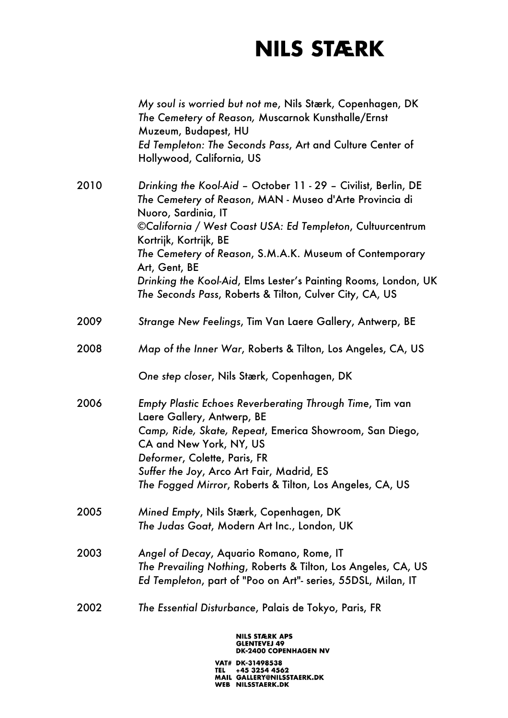|      | My soul is worried but not me, Nils Stærk, Copenhagen, DK<br>The Cemetery of Reason, Muscarnok Kunsthalle/Ernst<br>Muzeum, Budapest, HU<br>Ed Templeton: The Seconds Pass, Art and Culture Center of<br>Hollywood, California, US                                                                                                                                                                                                                  |
|------|----------------------------------------------------------------------------------------------------------------------------------------------------------------------------------------------------------------------------------------------------------------------------------------------------------------------------------------------------------------------------------------------------------------------------------------------------|
| 2010 | Drinking the Kool-Aid - October 11 - 29 - Civilist, Berlin, DE<br>The Cemetery of Reason, MAN - Museo d'Arte Provincia di<br>Nuoro, Sardinia, IT<br>©California / West Coast USA: Ed Templeton, Cultuurcentrum<br>Kortrijk, Kortrijk, BE<br>The Cemetery of Reason, S.M.A.K. Museum of Contemporary<br>Art, Gent, BE<br>Drinking the Kool-Aid, Elms Lester's Painting Rooms, London, UK<br>The Seconds Pass, Roberts & Tilton, Culver City, CA, US |
| 2009 | Strange New Feelings, Tim Van Laere Gallery, Antwerp, BE                                                                                                                                                                                                                                                                                                                                                                                           |
| 2008 | Map of the Inner War, Roberts & Tilton, Los Angeles, CA, US                                                                                                                                                                                                                                                                                                                                                                                        |
|      | One step closer, Nils Stærk, Copenhagen, DK                                                                                                                                                                                                                                                                                                                                                                                                        |
| 2006 | Empty Plastic Echoes Reverberating Through Time, Tim van<br>Laere Gallery, Antwerp, BE<br>Camp, Ride, Skate, Repeat, Emerica Showroom, San Diego,<br>CA and New York, NY, US<br>Deformer, Colette, Paris, FR<br>Suffer the Joy, Arco Art Fair, Madrid, ES<br>The Fogged Mirror, Roberts & Tilton, Los Angeles, CA, US                                                                                                                              |
| 2005 | Mined Empty, Nils Stærk, Copenhagen, DK<br>The Judas Goat, Modern Art Inc., London, UK                                                                                                                                                                                                                                                                                                                                                             |
| 2003 | Angel of Decay, Aquario Romano, Rome, IT<br>The Prevailing Nothing, Roberts & Tilton, Los Angeles, CA, US<br>Ed Templeton, part of "Poo on Art"- series, 55DSL, Milan, IT                                                                                                                                                                                                                                                                          |
| 2002 | The Essential Disturbance, Palais de Tokyo, Paris, FR                                                                                                                                                                                                                                                                                                                                                                                              |
|      |                                                                                                                                                                                                                                                                                                                                                                                                                                                    |

# NILS STÆRK APS<br>GLENTEVEJ 49<br>DK-2400 COPENHAGEN NV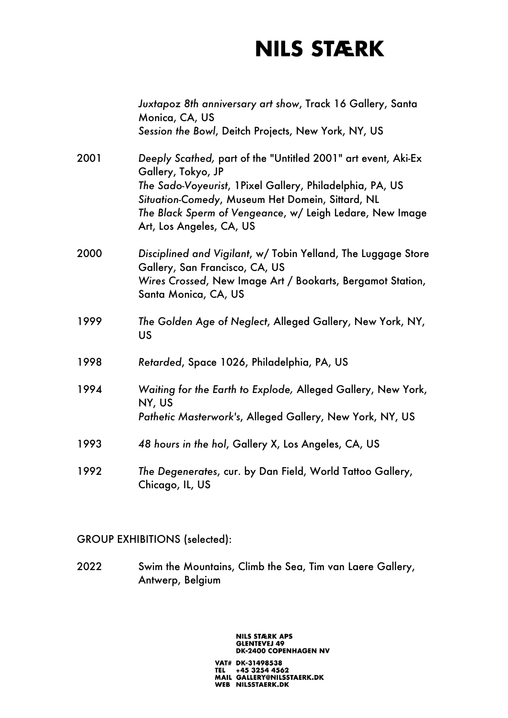|      | Juxtapoz 8th anniversary art show, Track 16 Gallery, Santa<br>Monica, CA, US<br>Session the Bowl, Deitch Projects, New York, NY, US                                                                                                                                                          |
|------|----------------------------------------------------------------------------------------------------------------------------------------------------------------------------------------------------------------------------------------------------------------------------------------------|
| 2001 | Deeply Scathed, part of the "Untitled 2001" art event, Aki-Ex<br>Gallery, Tokyo, JP<br>The Sado-Voyeurist, 1 Pixel Gallery, Philadelphia, PA, US<br>Situation-Comedy, Museum Het Domein, Sittard, NL<br>The Black Sperm of Vengeance, w/ Leigh Ledare, New Image<br>Art, Los Angeles, CA, US |
| 2000 | Disciplined and Vigilant, w/ Tobin Yelland, The Luggage Store<br>Gallery, San Francisco, CA, US<br>Wires Crossed, New Image Art / Bookarts, Bergamot Station,<br>Santa Monica, CA, US                                                                                                        |
| 1999 | The Golden Age of Neglect, Alleged Gallery, New York, NY,<br><b>US</b>                                                                                                                                                                                                                       |
| 1998 | Retarded, Space 1026, Philadelphia, PA, US                                                                                                                                                                                                                                                   |
| 1994 | Waiting for the Earth to Explode, Alleged Gallery, New York,<br>NY, US<br>Pathetic Masterwork's, Alleged Gallery, New York, NY, US                                                                                                                                                           |
| 1993 | 48 hours in the hol, Gallery X, Los Angeles, CA, US                                                                                                                                                                                                                                          |
| 1992 | The Degenerates, cur. by Dan Field, World Tattoo Gallery,<br>Chicago, IL, US                                                                                                                                                                                                                 |

#### GROUP EXHIBITIONS (selected):

2022 Swim the Mountains, Climb the Sea, Tim van Laere Gallery, Antwerp, Belgium

#### **NILS STÆRK APS GLENTEVEJ 49<br>DK-2400 COPENHAGEN NV**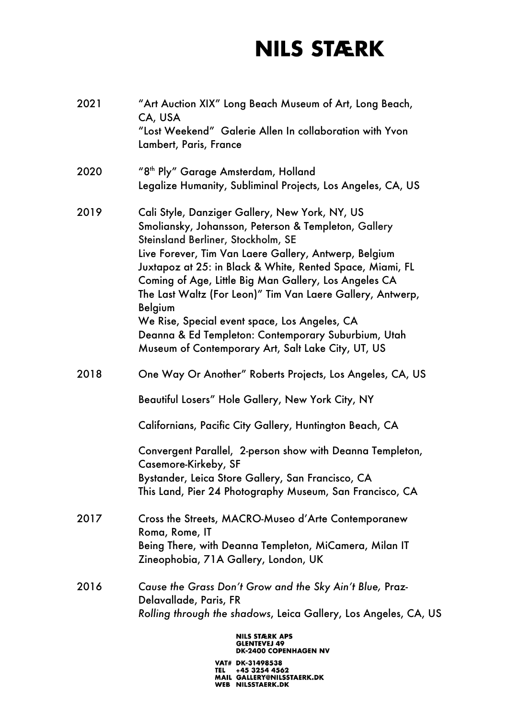| 2021 | "Art Auction XIX" Long Beach Museum of Art, Long Beach,<br>CA, USA<br>"Lost Weekend" Galerie Allen In collaboration with Yvon<br>Lambert, Paris, France                                                                                                                                                                                                                                                                                                                                                                                                                   |
|------|---------------------------------------------------------------------------------------------------------------------------------------------------------------------------------------------------------------------------------------------------------------------------------------------------------------------------------------------------------------------------------------------------------------------------------------------------------------------------------------------------------------------------------------------------------------------------|
| 2020 | "8 <sup>th</sup> Ply" Garage Amsterdam, Holland<br>Legalize Humanity, Subliminal Projects, Los Angeles, CA, US                                                                                                                                                                                                                                                                                                                                                                                                                                                            |
| 2019 | Cali Style, Danziger Gallery, New York, NY, US<br>Smoliansky, Johansson, Peterson & Templeton, Gallery<br>Steinsland Berliner, Stockholm, SE<br>Live Forever, Tim Van Laere Gallery, Antwerp, Belgium<br>Juxtapoz at 25: in Black & White, Rented Space, Miami, FL<br>Coming of Age, Little Big Man Gallery, Los Angeles CA<br>The Last Waltz (For Leon)" Tim Van Laere Gallery, Antwerp,<br><b>Belgium</b><br>We Rise, Special event space, Los Angeles, CA<br>Deanna & Ed Templeton: Contemporary Suburbium, Utah<br>Museum of Contemporary Art, Salt Lake City, UT, US |
| 2018 | One Way Or Another" Roberts Projects, Los Angeles, CA, US<br>Beautiful Losers" Hole Gallery, New York City, NY<br>Californians, Pacific City Gallery, Huntington Beach, CA                                                                                                                                                                                                                                                                                                                                                                                                |
|      | Convergent Parallel, 2-person show with Deanna Templeton,<br>Casemore-Kirkeby, SF<br>Bystander, Leica Store Gallery, San Francisco, CA<br>This Land, Pier 24 Photography Museum, San Francisco, CA                                                                                                                                                                                                                                                                                                                                                                        |
| 2017 | Cross the Streets, MACRO-Museo d'Arte Contemporanew<br>Roma, Rome, IT<br>Being There, with Deanna Templeton, MiCamera, Milan IT<br>Zineophobia, 71A Gallery, London, UK                                                                                                                                                                                                                                                                                                                                                                                                   |
| 2016 | Cause the Grass Don't Grow and the Sky Ain't Blue, Praz-<br>Delavallade, Paris, FR<br>Rolling through the shadows, Leica Gallery, Los Angeles, CA, US                                                                                                                                                                                                                                                                                                                                                                                                                     |
|      | NILS STÆRK APS<br>GLENTEVEJ 49<br>DK-2400 COPENHAGEN NV                                                                                                                                                                                                                                                                                                                                                                                                                                                                                                                   |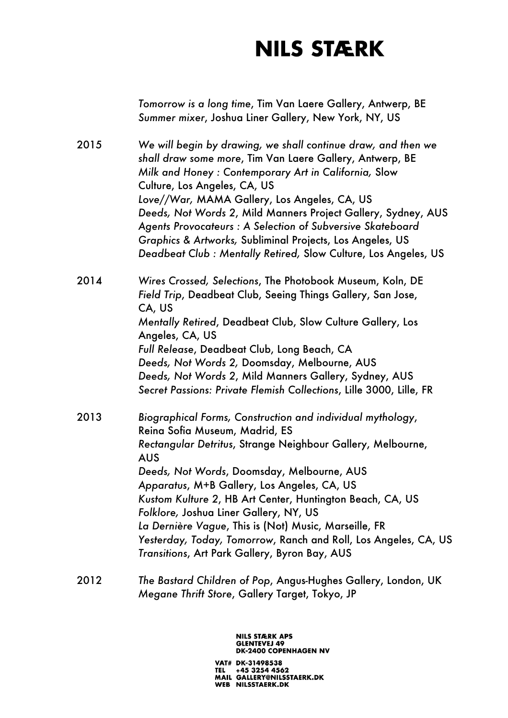*Tomorrow is a long time*, Tim Van Laere Gallery, Antwerp, BE *Summer mixer*, Joshua Liner Gallery, New York, NY, US

2015 *We will begin by drawing, we shall continue draw, and then we shall draw some more*, Tim Van Laere Gallery, Antwerp, BE *Milk and Honey : Contemporary Art in California,* Slow Culture, Los Angeles, CA, US *Love//War,* MAMA Gallery, Los Angeles, CA, US *Deeds, Not Words 2*, Mild Manners Project Gallery, Sydney, AUS *Agents Provocateurs : A Selection of Subversive Skateboard Graphics & Artworks,* Subliminal Projects, Los Angeles, US *Deadbeat Club : Mentally Retired,* Slow Culture, Los Angeles, US

2014 *Wires Crossed, Selections*, The Photobook Museum, Koln, DE *Field Trip*, Deadbeat Club, Seeing Things Gallery, San Jose, CA, US *Mentally Retired*, Deadbeat Club, Slow Culture Gallery, Los Angeles, CA, US *Full Release*, Deadbeat Club, Long Beach, CA *Deeds, Not Words 2,* Doomsday, Melbourne, AUS *Deeds, Not Words 2*, Mild Manners Gallery, Sydney, AUS *Secret Passions: Private Flemish Collections*, Lille 3000, Lille, FR

2013 *Biographical Forms, Construction and individual mythology*, Reina Sofia Museum, Madrid, ES *Rectangular Detritus*, Strange Neighbour Gallery, Melbourne, AUS *Deeds, Not Words*, Doomsday, Melbourne, AUS *Apparatus*, M+B Gallery, Los Angeles, CA, US *Kustom Kulture 2*, HB Art Center, Huntington Beach, CA, US *Folklore,* Joshua Liner Gallery, NY, US *La Dernière Vague*, This is (Not) Music, Marseille, FR *Yesterday, Today, Tomorrow*, Ranch and Roll, Los Angeles, CA, US *Transitions*, Art Park Gallery, Byron Bay, AUS

2012 *The Bastard Children of Pop*, Angus-Hughes Gallery, London, UK *Megane Thrift Store*, Gallery Target, Tokyo, JP

> **NILS STÆRK APS GLENTEVEJ 49 DK-2400 COPENHAGEN NV** VAT# DK-31498538 TEL +45 3254 4562<br>MAIL GALLERY@NILSSTAERK.DK WEB NILSSTAERK.DK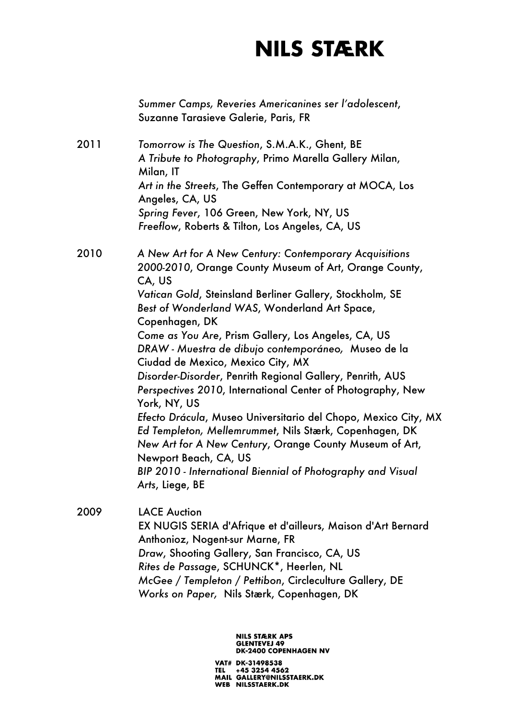*Summer Camps, Reveries Americanines ser l'adolescent*, Suzanne Tarasieve Galerie, Paris, FR 2011 *Tomorrow is The Question*, S.M.A.K., Ghent, BE *A Tribute to Photography*, Primo Marella Gallery Milan, Milan, IT *Art in the Streets*, The Geffen Contemporary at MOCA, Los Angeles, CA, US *Spring Fever*, 106 Green, New York, NY, US *Freeflow*, Roberts & Tilton, Los Angeles, CA, US 2010 *A New Art for A New Century: Contemporary Acquisitions 2000-2010*, Orange County Museum of Art, Orange County, CA, US *Vatican Gold*, Steinsland Berliner Gallery, Stockholm, SE *Best of Wonderland WAS*, Wonderland Art Space, Copenhagen, DK *Come as You Are*, Prism Gallery, Los Angeles, CA, US *DRAW - Muestra de dibujo contemporáneo,* Museo de la Ciudad de Mexico, Mexico City, MX *Disorder-Disorder*, Penrith Regional Gallery, Penrith, AUS *Perspectives 2010*, International Center of Photography, New York, NY, US *Efecto Drácula*, Museo Universitario del Chopo, Mexico City, MX *Ed Templeton, Mellemrummet*, Nils Stærk, Copenhagen, DK *New Art for A New Century*, Orange County Museum of Art, Newport Beach, CA, US *BIP 2010 - International Biennial of Photography and Visual Arts*, Liege, BE 2009 LACE Auction EX NUGIS SERIA d'Afrique et d'ailleurs, Maison d'Art Bernard Anthonioz, Nogent-sur Marne, FR *Draw*, Shooting Gallery, San Francisco, CA, US *Rites de Passage*, SCHUNCK\*, Heerlen, NL *McGee / Templeton / Pettibon*, Circleculture Gallery, DE

*Works on Paper,* Nils Stærk, Copenhagen, DK

**NILS STÆRK APS GLENTEVEJ 49 DK-2400 COPENHAGEN NV**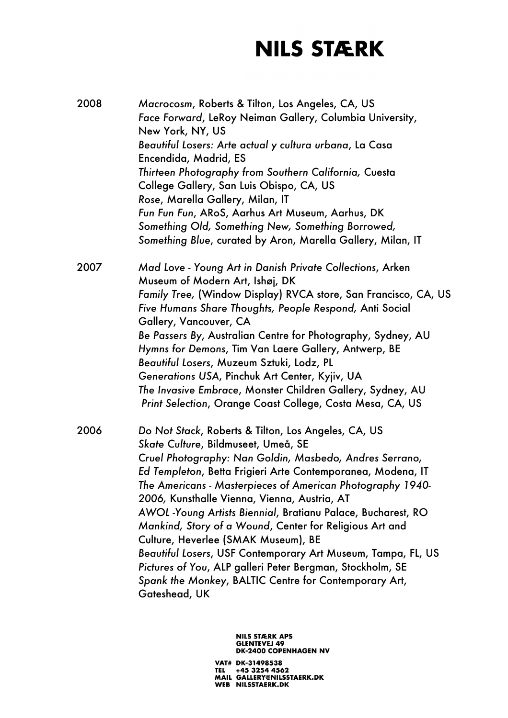| 2008 | Macrocosm, Roberts & Tilton, Los Angeles, CA, US<br>Face Forward, LeRoy Neiman Gallery, Columbia University,<br>New York, NY, US<br>Beautiful Losers: Arte actual y cultura urbana, La Casa<br>Encendida, Madrid, ES<br>Thirteen Photography from Southern California, Cuesta<br>College Gallery, San Luis Obispo, CA, US<br>Rose, Marella Gallery, Milan, IT<br>Fun Fun Fun, ARoS, Aarhus Art Museum, Aarhus, DK<br>Something Old, Something New, Something Borrowed,<br>Something Blue, curated by Aron, Marella Gallery, Milan, IT                                                                                                                                                                       |
|------|-------------------------------------------------------------------------------------------------------------------------------------------------------------------------------------------------------------------------------------------------------------------------------------------------------------------------------------------------------------------------------------------------------------------------------------------------------------------------------------------------------------------------------------------------------------------------------------------------------------------------------------------------------------------------------------------------------------|
| 2007 | Mad Love - Young Art in Danish Private Collections, Arken<br>Museum of Modern Art, Ishøj, DK<br>Family Tree, (Window Display) RVCA store, San Francisco, CA, US<br>Five Humans Share Thoughts, People Respond, Anti Social<br>Gallery, Vancouver, CA<br>Be Passers By, Australian Centre for Photography, Sydney, AU<br>Hymns for Demons, Tim Van Laere Gallery, Antwerp, BE<br>Beautiful Losers, Muzeum Sztuki, Lodz, PL<br>Generations USA, Pinchuk Art Center, Kyjiv, UA<br>The Invasive Embrace, Monster Children Gallery, Sydney, AU<br>Print Selection, Orange Coast College, Costa Mesa, CA, US                                                                                                      |
| 2006 | Do Not Stack, Roberts & Tilton, Los Angeles, CA, US<br>Skate Culture, Bildmuseet, Umeå, SE<br>Cruel Photography: Nan Goldin, Masbedo, Andres Serrano,<br>Ed Templeton, Betta Frigieri Arte Contemporanea, Modena, IT<br>The Americans - Masterpieces of American Photography 1940-<br>2006, Kunsthalle Vienna, Vienna, Austria, AT<br>AWOL -Young Artists Biennial, Bratianu Palace, Bucharest, RO<br>Mankind, Story of a Wound, Center for Religious Art and<br>Culture, Heverlee (SMAK Museum), BE<br>Beautiful Losers, USF Contemporary Art Museum, Tampa, FL, US<br>Pictures of You, ALP galleri Peter Bergman, Stockholm, SE<br>Spank the Monkey, BALTIC Centre for Contemporary Art,<br>Gateshead, UK |

NILS STÆRK APS<br>GLENTEVEJ 49<br>DK-2400 COPENHAGEN NV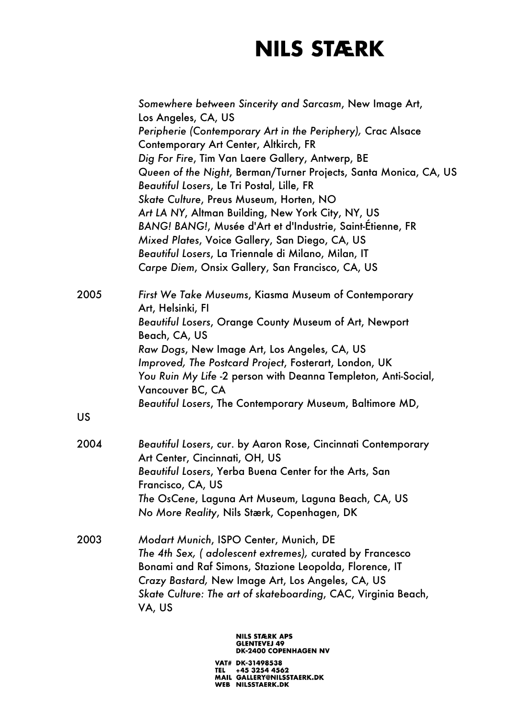*Somewhere between Sincerity and Sarcasm*, New Image Art, Los Angeles, CA, US *Peripherie (Contemporary Art in the Periphery),* Crac Alsace Contemporary Art Center, Altkirch, FR *Dig For Fire*, Tim Van Laere Gallery, Antwerp, BE *Queen of the Night*, Berman/Turner Projects, Santa Monica, CA, US *Beautiful Losers*, Le Tri Postal, Lille, FR *Skate Culture*, Preus Museum, Horten, NO *Art LA NY*, Altman Building, New York City, NY, US *BANG! BANG!*, Musée d'Art et d'Industrie, Saint-Étienne, FR *Mixed Plates*, Voice Gallery, San Diego, CA, US *Beautiful Losers*, La Triennale di Milano, Milan, IT *Carpe Diem*, Onsix Gallery, San Francisco, CA, US 2005 *First We Take Museums*, Kiasma Museum of Contemporary Art, Helsinki, FI *Beautiful Losers*, Orange County Museum of Art, Newport Beach, CA, US *Raw Dogs*, New Image Art, Los Angeles, CA, US *Improved, The Postcard Project*, Fosterart, London, UK *You Ruin My Life* -2 person with Deanna Templeton, Anti-Social, Vancouver BC, CA *Beautiful Losers*, The Contemporary Museum, Baltimore MD, 2004 *Beautiful Losers*, cur. by Aaron Rose, Cincinnati Contemporary Art Center, Cincinnati, OH, US *Beautiful Losers*, Yerba Buena Center for the Arts, San Francisco, CA, US *The OsCene*, Laguna Art Museum, Laguna Beach, CA, US *No More Reality*, Nils Stærk, Copenhagen, DK 2003 *Modart Munich*, ISPO Center, Munich, DE *The 4th Sex, ( adolescent extremes),* curated by Francesco Bonami and Raf Simons, Stazione Leopolda, Florence, IT *Crazy Bastard,* New Image Art, Los Angeles, CA, US *Skate Culture: The art of skateboarding*, CAC, Virginia Beach, VA, US

US

**NILS STÆRK APS GLENTEVEJ 49 DK-2400 COPENHAGEN NV**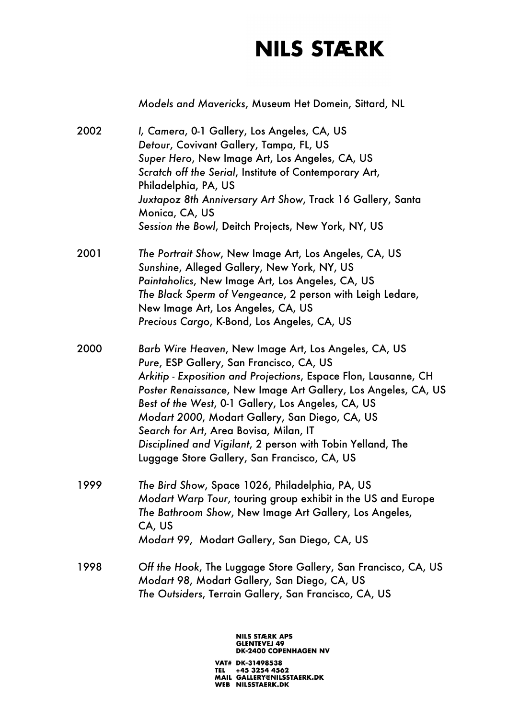*Models and Mavericks*, Museum Het Domein, Sittard, NL

2002 *I, Camera*, 0-1 Gallery, Los Angeles, CA, US *Detour*, Covivant Gallery, Tampa, FL, US *Super Hero*, New Image Art, Los Angeles, CA, US *Scratch off the Serial*, Institute of Contemporary Art, Philadelphia, PA, US *Juxtapoz 8th Anniversary Art Show*, Track 16 Gallery, Santa Monica, CA, US *Session the Bowl*, Deitch Projects, New York, NY, US 2001 *The Portrait Show*, New Image Art, Los Angeles, CA, US *Sunshine*, Alleged Gallery, New York, NY, US *Paintaholics*, New Image Art, Los Angeles, CA, US *The Black Sperm of Vengeance*, 2 person with Leigh Ledare, New Image Art, Los Angeles, CA, US *Precious Cargo*, K-Bond, Los Angeles, CA, US 2000 *Barb Wire Heaven*, New Image Art, Los Angeles, CA, US *Pure*, ESP Gallery, San Francisco, CA, US *Arkitip - Exposition and Projections*, Espace Flon, Lausanne, CH *Poster Renaissance*, New Image Art Gallery, Los Angeles, CA, US *Best of the West*, 0-1 Gallery, Los Angeles, CA, US *Modart 2000*, Modart Gallery, San Diego, CA, US *Search for Art*, Area Bovisa, Milan, IT *Disciplined and Vigilant*, 2 person with Tobin Yelland, The Luggage Store Gallery, San Francisco, CA, US 1999 *The Bird Show*, Space 1026, Philadelphia, PA, US *Modart Warp Tour*, touring group exhibit in the US and Europe *The Bathroom Show*, New Image Art Gallery, Los Angeles, CA, US *Modart 99*, Modart Gallery, San Diego, CA, US 1998 *Off the Hook*, The Luggage Store Gallery, San Francisco, CA, US *Modart 98*, Modart Gallery, San Diego, CA, US *The Outsiders*, Terrain Gallery, San Francisco, CA, US

> **NILS STÆRK APS GLENTEVEJ 49 DK-2400 COPENHAGEN NV**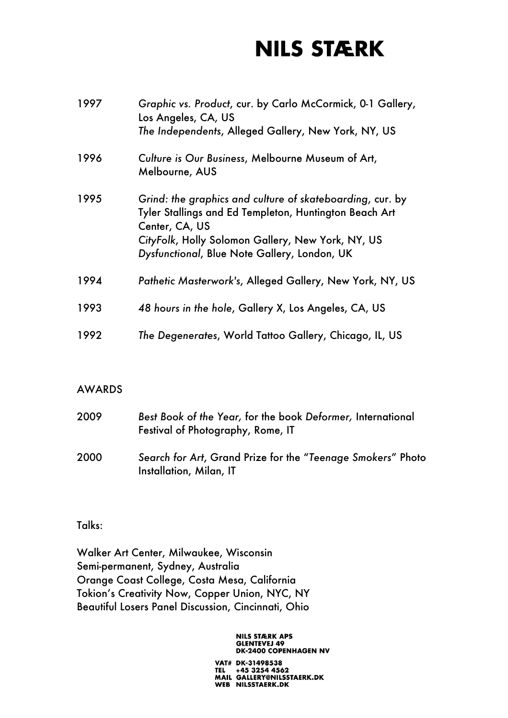| 1997 | Graphic vs. Product, cur. by Carlo McCormick, 0-1 Gallery,<br>Los Angeles, CA, US<br>The Independents, Alleged Gallery, New York, NY, US                                                                                                   |
|------|--------------------------------------------------------------------------------------------------------------------------------------------------------------------------------------------------------------------------------------------|
| 1996 | Culture is Our Business, Melbourne Museum of Art,<br>Melbourne, AUS                                                                                                                                                                        |
| 1995 | Grind: the graphics and culture of skateboarding, cur. by<br>Tyler Stallings and Ed Templeton, Huntington Beach Art<br>Center, CA, US<br>CityFolk, Holly Solomon Gallery, New York, NY, US<br>Dysfunctional, Blue Note Gallery, London, UK |
| 1994 | Pathetic Masterwork's, Alleged Gallery, New York, NY, US                                                                                                                                                                                   |
| 1993 | 48 hours in the hole, Gallery X, Los Angeles, CA, US                                                                                                                                                                                       |
| 1992 | The Degenerates, World Tattoo Gallery, Chicago, IL, US                                                                                                                                                                                     |

#### AWARDS

| 2009 | Best Book of the Year, for the book Deformer, International<br>Festival of Photography, Rome, IT |
|------|--------------------------------------------------------------------------------------------------|
| 2000 | Search for Art, Grand Prize for the "Teenage Smokers" Photo<br>Installation, Milan, IT           |

Talks:

Walker Art Center, Milwaukee, Wisconsin Semi-permanent, Sydney, Australia Orange Coast College, Costa Mesa, California Tokion's Creativity Now, Copper Union, NYC, NY Beautiful Losers Panel Discussion, Cincinnati, Ohio

> **NILS STÆRK APS GLENTEVEJ 49<br>DK-2400 COPENHAGEN NV**